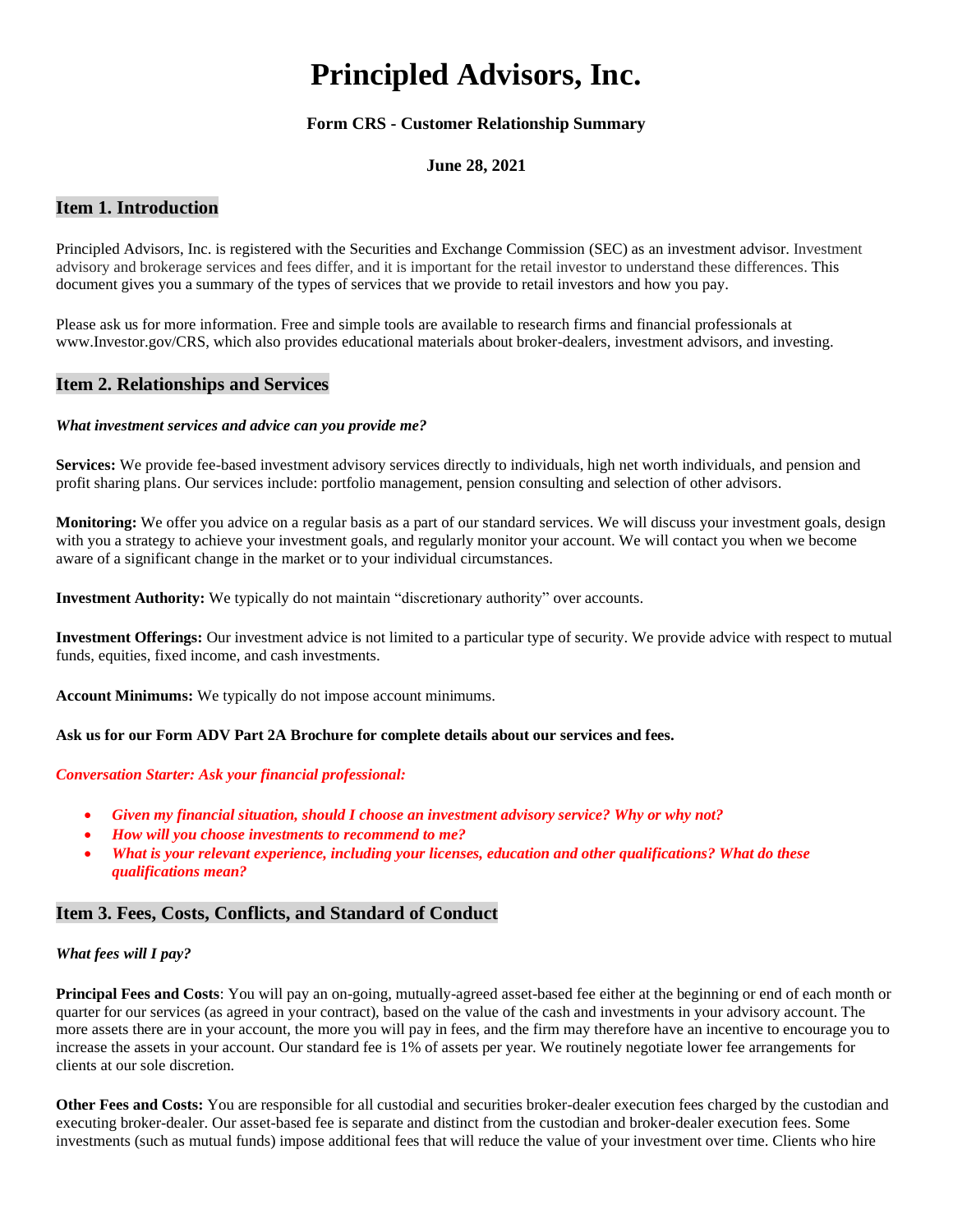# **Principled Advisors, Inc.**

# **Form CRS - Customer Relationship Summary**

## **June 28, 2021**

# **Item 1. Introduction**

Principled Advisors, Inc. is registered with the Securities and Exchange Commission (SEC) as an investment advisor. Investment advisory and brokerage services and fees differ, and it is important for the retail investor to understand these differences. This document gives you a summary of the types of services that we provide to retail investors and how you pay.

Please ask us for more information. Free and simple tools are available to research firms and financial professionals at www.Investor.gov/CRS, which also provides educational materials about broker-dealers, investment advisors, and investing.

# **Item 2. Relationships and Services**

## *What investment services and advice can you provide me?*

**Services:** We provide fee-based investment advisory services directly to individuals, high net worth individuals, and pension and profit sharing plans. Our services include: portfolio management, pension consulting and selection of other advisors.

**Monitoring:** We offer you advice on a regular basis as a part of our standard services. We will discuss your investment goals, design with you a strategy to achieve your investment goals, and regularly monitor your account. We will contact you when we become aware of a significant change in the market or to your individual circumstances.

**Investment Authority:** We typically do not maintain "discretionary authority" over accounts.

**Investment Offerings:** Our investment advice is not limited to a particular type of security. We provide advice with respect to mutual funds, equities, fixed income, and cash investments.

**Account Minimums:** We typically do not impose account minimums.

## **Ask us for our Form ADV Part 2A Brochure for complete details about our services and fees.**

## *Conversation Starter: Ask your financial professional:*

- *Given my financial situation, should I choose an investment advisory service? Why or why not?*
- *How will you choose investments to recommend to me?*
- *What is your relevant experience, including your licenses, education and other qualifications? What do these qualifications mean?*

# **Item 3. Fees, Costs, Conflicts, and Standard of Conduct**

## *What fees will I pay?*

**Principal Fees and Costs**: You will pay an on-going, mutually-agreed asset-based fee either at the beginning or end of each month or quarter for our services (as agreed in your contract), based on the value of the cash and investments in your advisory account. The more assets there are in your account, the more you will pay in fees, and the firm may therefore have an incentive to encourage you to increase the assets in your account. Our standard fee is 1% of assets per year. We routinely negotiate lower fee arrangements for clients at our sole discretion.

**Other Fees and Costs:** You are responsible for all custodial and securities broker-dealer execution fees charged by the custodian and executing broker-dealer. Our asset-based fee is separate and distinct from the custodian and broker-dealer execution fees. Some investments (such as mutual funds) impose additional fees that will reduce the value of your investment over time. Clients who hire